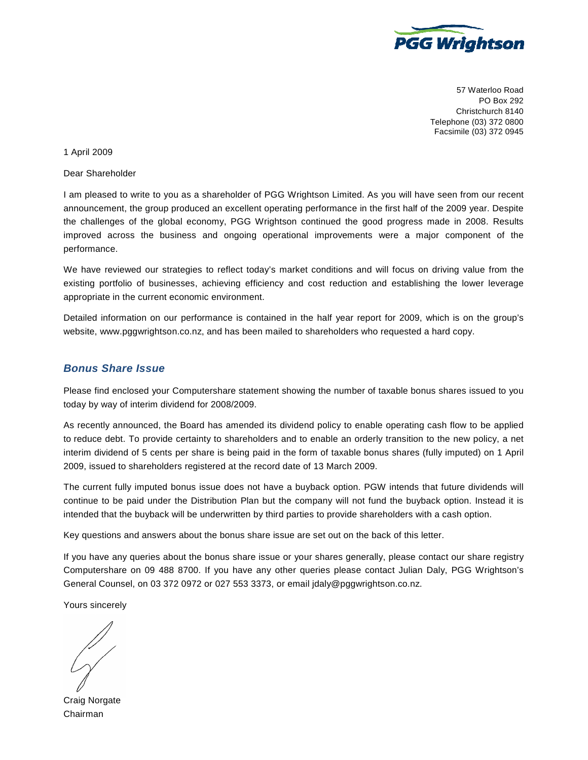

57 Waterloo Road PO Box 292 Christchurch 8140 Telephone (03) 372 0800 Facsimile (03) 372 0945

## 1 April 2009

Dear Shareholder

I am pleased to write to you as a shareholder of PGG Wrightson Limited. As you will have seen from our recent announcement, the group produced an excellent operating performance in the first half of the 2009 year. Despite the challenges of the global economy, PGG Wrightson continued the good progress made in 2008. Results improved across the business and ongoing operational improvements were a major component of the performance.

We have reviewed our strategies to reflect today's market conditions and will focus on driving value from the existing portfolio of businesses, achieving efficiency and cost reduction and establishing the lower leverage appropriate in the current economic environment.

Detailed information on our performance is contained in the half year report for 2009, which is on the group's website, www.pggwrightson.co.nz, and has been mailed to shareholders who requested a hard copy.

## **Bonus Share Issue**

Please find enclosed your Computershare statement showing the number of taxable bonus shares issued to you today by way of interim dividend for 2008/2009.

As recently announced, the Board has amended its dividend policy to enable operating cash flow to be applied to reduce debt. To provide certainty to shareholders and to enable an orderly transition to the new policy, a net interim dividend of 5 cents per share is being paid in the form of taxable bonus shares (fully imputed) on 1 April 2009, issued to shareholders registered at the record date of 13 March 2009.

The current fully imputed bonus issue does not have a buyback option. PGW intends that future dividends will continue to be paid under the Distribution Plan but the company will not fund the buyback option. Instead it is intended that the buyback will be underwritten by third parties to provide shareholders with a cash option.

Key questions and answers about the bonus share issue are set out on the back of this letter.

If you have any queries about the bonus share issue or your shares generally, please contact our share registry Computershare on 09 488 8700. If you have any other queries please contact Julian Daly, PGG Wrightson's General Counsel, on 03 372 0972 or 027 553 3373, or email jdaly@pggwrightson.co.nz.

Yours sincerely

Craig Norgate Chairman